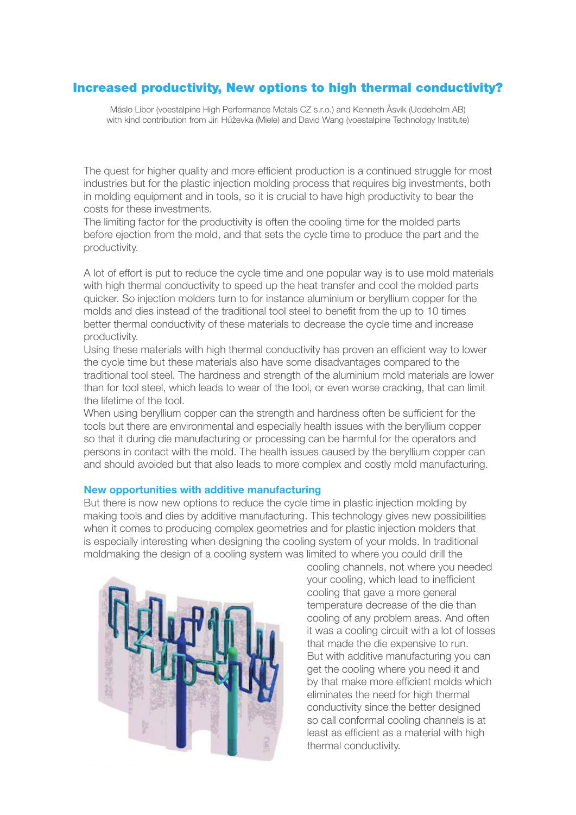## Increased productivity, New options to high thermal conductivity?

Máslo Libor (voestalpine High Performance Metals CZ s.r.o.) and Kenneth Åsvik (Uddeholm AB) with kind contribution from Jiri Húževka (Miele) and David Wang (voestalpine Technology Institute)

The quest for higher quality and more efficient production is a continued struggle for most industries but for the plastic injection molding process that requires big investments, both in molding equipment and in tools, so it is crucial to have high productivity to bear the costs for these investments.

The limiting factor for the productivity is often the cooling time for the molded parts before ejection from the mold, and that sets the cycle time to produce the part and the productivity.

A lot of effort is put to reduce the cycle time and one popular way is to use mold materials with high thermal conductivity to speed up the heat transfer and cool the molded parts quicker. So injection molders turn to for instance aluminium or beryllium copper for the molds and dies instead of the traditional tool steel to benefit from the up to 10 times better thermal conductivity of these materials to decrease the cycle time and increase productivity.

Using these materials with high thermal conductivity has proven an efficient way to lower the cycle time but these materials also have some disadvantages compared to the traditional tool steel. The hardness and strength of the aluminium mold materials are lower than for tool steel, which leads to wear of the tool, or even worse cracking, that can limit the lifetime of the tool.

When using beryllium copper can the strength and hardness often be sufficient for the tools but there are environmental and especially health issues with the beryllium copper so that it during die manufacturing or processing can be harmful for the operators and persons in contact with the mold. The health issues caused by the beryllium copper can and should avoided but that also leads to more complex and costly mold manufacturing.

## **New opportunities with additive manufacturing**

But there is now new options to reduce the cycle time in plastic injection molding by making tools and dies by additive manufacturing. This technology gives new possibilities when it comes to producing complex geometries and for plastic injection molders that is especially interesting when designing the cooling system of your molds. In traditional moldmaking the design of a cooling system was limited to where you could drill the



cooling channels, not where you needed your cooling, which lead to inefficient cooling that gave a more general temperature decrease of the die than cooling of any problem areas. And often it was a cooling circuit with a lot of losses that made the die expensive to run. But with additive manufacturing you can get the cooling where you need it and by that make more efficient molds which eliminates the need for high thermal conductivity since the better designed so call conformal cooling channels is at least as efficient as a material with high thermal conductivity.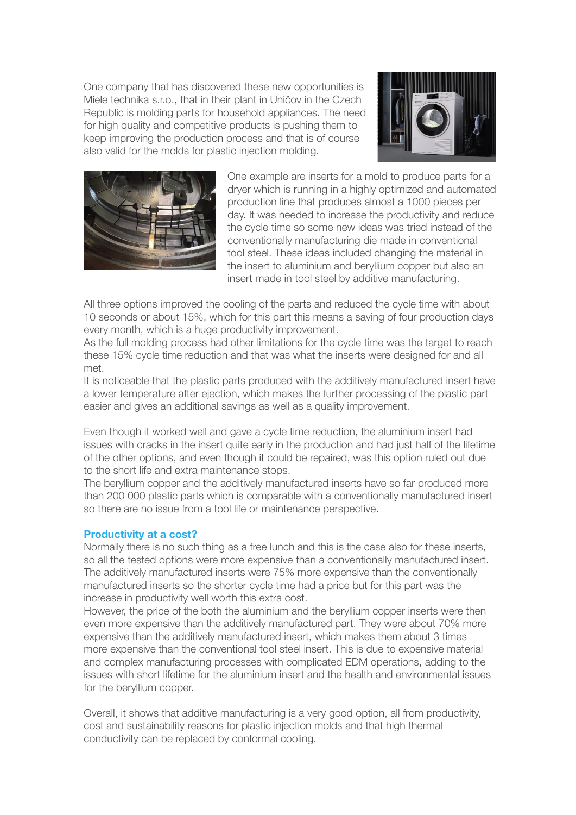One company that has discovered these new opportunities is Miele technika s.r.o., that in their plant in Uničov in the Czech Republic is molding parts for household appliances. The need for high quality and competitive products is pushing them to keep improving the production process and that is of course also valid for the molds for plastic injection molding.





One example are inserts for a mold to produce parts for a dryer which is running in a highly optimized and automated production line that produces almost a 1000 pieces per day. It was needed to increase the productivity and reduce the cycle time so some new ideas was tried instead of the conventionally manufacturing die made in conventional tool steel. These ideas included changing the material in the insert to aluminium and beryllium copper but also an insert made in tool steel by additive manufacturing.

All three options improved the cooling of the parts and reduced the cycle time with about 10 seconds or about 15%, which for this part this means a saving of four production days every month, which is a huge productivity improvement.

As the full molding process had other limitations for the cycle time was the target to reach these 15% cycle time reduction and that was what the inserts were designed for and all met.

It is noticeable that the plastic parts produced with the additively manufactured insert have a lower temperature after ejection, which makes the further processing of the plastic part easier and gives an additional savings as well as a quality improvement.

Even though it worked well and gave a cycle time reduction, the aluminium insert had issues with cracks in the insert quite early in the production and had just half of the lifetime of the other options, and even though it could be repaired, was this option ruled out due to the short life and extra maintenance stops.

The beryllium copper and the additively manufactured inserts have so far produced more than 200 000 plastic parts which is comparable with a conventionally manufactured insert so there are no issue from a tool life or maintenance perspective.

## **Productivity at a cost?**

Normally there is no such thing as a free lunch and this is the case also for these inserts, so all the tested options were more expensive than a conventionally manufactured insert. The additively manufactured inserts were 75% more expensive than the conventionally manufactured inserts so the shorter cycle time had a price but for this part was the increase in productivity well worth this extra cost.

However, the price of the both the aluminium and the beryllium copper inserts were then even more expensive than the additively manufactured part. They were about 70% more expensive than the additively manufactured insert, which makes them about 3 times more expensive than the conventional tool steel insert. This is due to expensive material and complex manufacturing processes with complicated EDM operations, adding to the issues with short lifetime for the aluminium insert and the health and environmental issues for the beryllium copper.

Overall, it shows that additive manufacturing is a very good option, all from productivity, cost and sustainability reasons for plastic injection molds and that high thermal conductivity can be replaced by conformal cooling.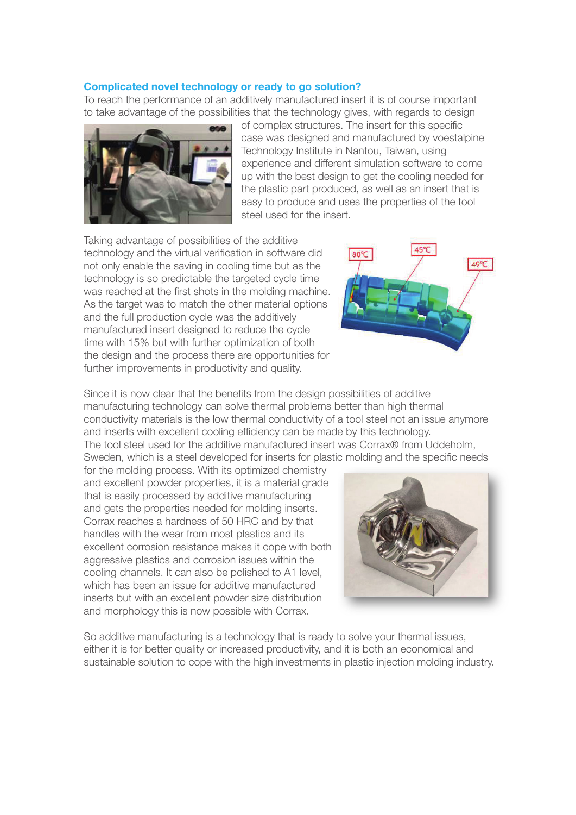## **Complicated novel technology or ready to go solution?**

To reach the performance of an additively manufactured insert it is of course important to take advantage of the possibilities that the technology gives, with regards to design



of complex structures. The insert for this specific case was designed and manufactured by voestalpine Technology Institute in Nantou, Taiwan, using experience and different simulation software to come up with the best design to get the cooling needed for the plastic part produced, as well as an insert that is easy to produce and uses the properties of the tool steel used for the insert.

Taking advantage of possibilities of the additive technology and the virtual verification in software did not only enable the saving in cooling time but as the technology is so predictable the targeted cycle time was reached at the first shots in the molding machine. As the target was to match the other material options and the full production cycle was the additively manufactured insert designed to reduce the cycle time with 15% but with further optimization of both the design and the process there are opportunities for further improvements in productivity and quality.



Since it is now clear that the benefits from the design possibilities of additive manufacturing technology can solve thermal problems better than high thermal conductivity materials is the low thermal conductivity of a tool steel not an issue anymore and inserts with excellent cooling efficiency can be made by this technology. The tool steel used for the additive manufactured insert was Corrax® from Uddeholm, Sweden, which is a steel developed for inserts for plastic molding and the specific needs

for the molding process. With its optimized chemistry and excellent powder properties, it is a material grade that is easily processed by additive manufacturing and gets the properties needed for molding inserts. Corrax reaches a hardness of 50 HRC and by that handles with the wear from most plastics and its excellent corrosion resistance makes it cope with both aggressive plastics and corrosion issues within the cooling channels. It can also be polished to A1 level, which has been an issue for additive manufactured inserts but with an excellent powder size distribution and morphology this is now possible with Corrax.



So additive manufacturing is a technology that is ready to solve your thermal issues, either it is for better quality or increased productivity, and it is both an economical and sustainable solution to cope with the high investments in plastic injection molding industry.